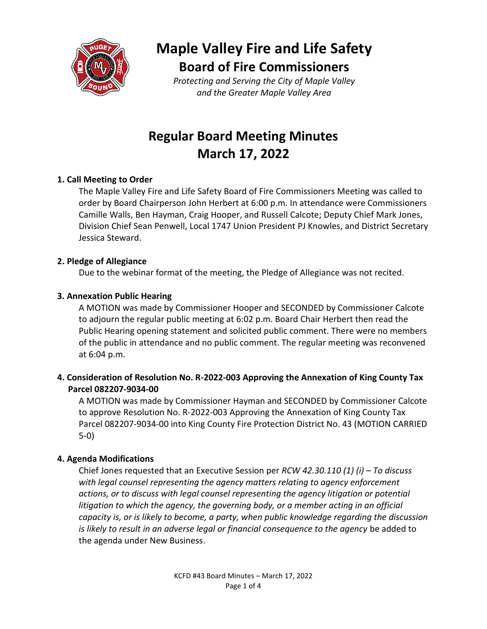

**Maple Valley Fire and Life Safety Board of Fire Commissioners**

*Protecting and Serving the City of Maple Valley and the Greater Maple Valley Area*

## **Regular Board Meeting Minutes March 17, 2022**

#### **1. Call Meeting to Order**

The Maple Valley Fire and Life Safety Board of Fire Commissioners Meeting was called to order by Board Chairperson John Herbert at 6:00 p.m. In attendance were Commissioners Camille Walls, Ben Hayman, Craig Hooper, and Russell Calcote; Deputy Chief Mark Jones, Division Chief Sean Penwell, Local 1747 Union President PJ Knowles, and District Secretary Jessica Steward.

#### **2. Pledge of Allegiance**

Due to the webinar format of the meeting, the Pledge of Allegiance was not recited.

#### **3. Annexation Public Hearing**

A MOTION was made by Commissioner Hooper and SECONDED by Commissioner Calcote to adjourn the regular public meeting at 6:02 p.m. Board Chair Herbert then read the Public Hearing opening statement and solicited public comment. There were no members of the public in attendance and no public comment. The regular meeting was reconvened at 6:04 p.m.

#### **4. Consideration of Resolution No. R-2022-003 Approving the Annexation of King County Tax Parcel 082207-9034-00**

A MOTION was made by Commissioner Hayman and SECONDED by Commissioner Calcote to approve Resolution No. R-2022-003 Approving the Annexation of King County Tax Parcel 082207-9034-00 into King County Fire Protection District No. 43 (MOTION CARRIED 5-0)

#### **4. Agenda Modifications**

Chief Jones requested that an Executive Session per *RCW 42.30.110 (1) (i) – To discuss with legal counsel representing the agency matters relating to agency enforcement actions, or to discuss with legal counsel representing the agency litigation or potential*  litigation to which the agency, the governing body, or a member acting in an official *capacity is, or is likely to become, a party, when public knowledge regarding the discussion is likely to result in an adverse legal or financial consequence to the agency* be added to the agenda under New Business.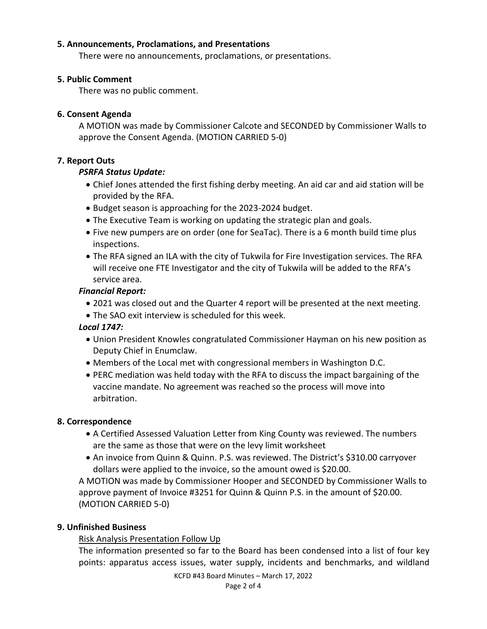#### **5. Announcements, Proclamations, and Presentations**

There were no announcements, proclamations, or presentations.

#### **5. Public Comment**

There was no public comment.

#### **6. Consent Agenda**

A MOTION was made by Commissioner Calcote and SECONDED by Commissioner Walls to approve the Consent Agenda. (MOTION CARRIED 5-0)

#### **7. Report Outs**

#### *PSRFA Status Update:*

- Chief Jones attended the first fishing derby meeting. An aid car and aid station will be provided by the RFA.
- Budget season is approaching for the 2023-2024 budget.
- The Executive Team is working on updating the strategic plan and goals.
- Five new pumpers are on order (one for SeaTac). There is a 6 month build time plus inspections.
- The RFA signed an ILA with the city of Tukwila for Fire Investigation services. The RFA will receive one FTE Investigator and the city of Tukwila will be added to the RFA's service area.

#### *Financial Report:*

- 2021 was closed out and the Quarter 4 report will be presented at the next meeting.
- The SAO exit interview is scheduled for this week.

#### *Local 1747:*

- Union President Knowles congratulated Commissioner Hayman on his new position as Deputy Chief in Enumclaw.
- Members of the Local met with congressional members in Washington D.C.
- PERC mediation was held today with the RFA to discuss the impact bargaining of the vaccine mandate. No agreement was reached so the process will move into arbitration.

#### **8. Correspondence**

- A Certified Assessed Valuation Letter from King County was reviewed. The numbers are the same as those that were on the levy limit worksheet
- An invoice from Quinn & Quinn. P.S. was reviewed. The District's \$310.00 carryover dollars were applied to the invoice, so the amount owed is \$20.00.

A MOTION was made by Commissioner Hooper and SECONDED by Commissioner Walls to approve payment of Invoice #3251 for Quinn & Quinn P.S. in the amount of \$20.00. (MOTION CARRIED 5-0)

#### **9. Unfinished Business**

#### Risk Analysis Presentation Follow Up

The information presented so far to the Board has been condensed into a list of four key points: apparatus access issues, water supply, incidents and benchmarks, and wildland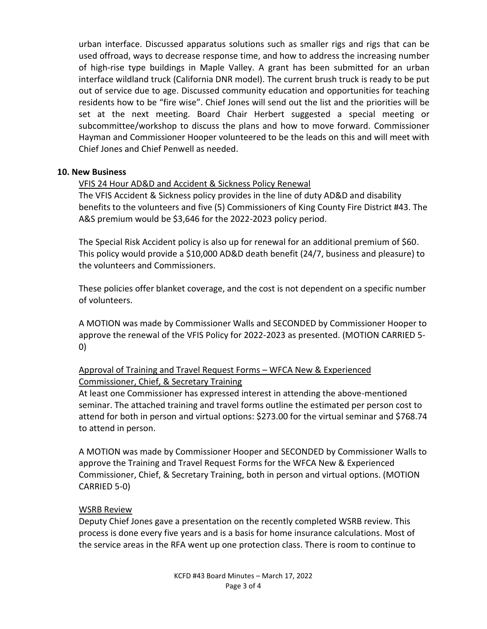urban interface. Discussed apparatus solutions such as smaller rigs and rigs that can be used offroad, ways to decrease response time, and how to address the increasing number of high-rise type buildings in Maple Valley. A grant has been submitted for an urban interface wildland truck (California DNR model). The current brush truck is ready to be put out of service due to age. Discussed community education and opportunities for teaching residents how to be "fire wise". Chief Jones will send out the list and the priorities will be set at the next meeting. Board Chair Herbert suggested a special meeting or subcommittee/workshop to discuss the plans and how to move forward. Commissioner Hayman and Commissioner Hooper volunteered to be the leads on this and will meet with Chief Jones and Chief Penwell as needed.

#### **10. New Business**

VFIS 24 Hour AD&D and Accident & Sickness Policy Renewal

The VFIS Accident & Sickness policy provides in the line of duty AD&D and disability benefits to the volunteers and five (5) Commissioners of King County Fire District #43. The A&S premium would be \$3,646 for the 2022-2023 policy period.

The Special Risk Accident policy is also up for renewal for an additional premium of \$60. This policy would provide a \$10,000 AD&D death benefit (24/7, business and pleasure) to the volunteers and Commissioners.

These policies offer blanket coverage, and the cost is not dependent on a specific number of volunteers.

A MOTION was made by Commissioner Walls and SECONDED by Commissioner Hooper to approve the renewal of the VFIS Policy for 2022-2023 as presented. (MOTION CARRIED 5- 0)

#### Approval of Training and Travel Request Forms – WFCA New & Experienced Commissioner, Chief, & Secretary Training

At least one Commissioner has expressed interest in attending the above-mentioned seminar. The attached training and travel forms outline the estimated per person cost to attend for both in person and virtual options: \$273.00 for the virtual seminar and \$768.74 to attend in person.

A MOTION was made by Commissioner Hooper and SECONDED by Commissioner Walls to approve the Training and Travel Request Forms for the WFCA New & Experienced Commissioner, Chief, & Secretary Training, both in person and virtual options. (MOTION CARRIED 5-0)

#### WSRB Review

Deputy Chief Jones gave a presentation on the recently completed WSRB review. This process is done every five years and is a basis for home insurance calculations. Most of the service areas in the RFA went up one protection class. There is room to continue to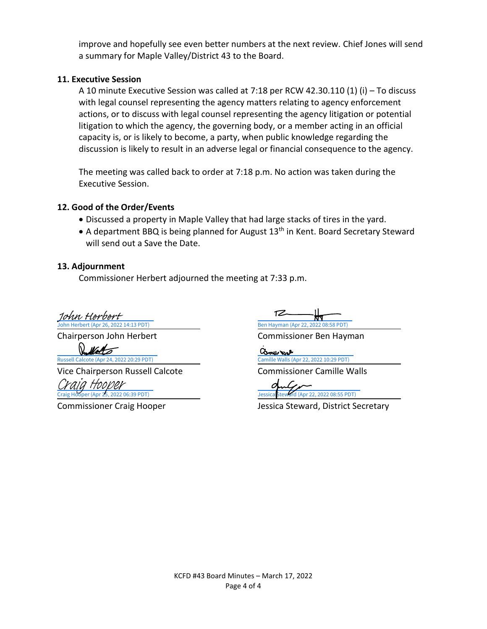improve and hopefully see even better numbers at the next review. Chief Jones will send a summary for Maple Valley/District 43 to the Board.

#### **11. Executive Session**

A 10 minute Executive Session was called at 7:18 per RCW 42.30.110 (1) (i) – To discuss with legal counsel representing the agency matters relating to agency enforcement actions, or to discuss with legal counsel representing the agency litigation or potential litigation to which the agency, the governing body, or a member acting in an official capacity is, or is likely to become, a party, when public knowledge regarding the discussion is likely to result in an adverse legal or financial consequence to the agency.

The meeting was called back to order at 7:18 p.m. No action was taken during the Executive Session.

#### **12. Good of the Order/Events**

- Discussed a property in Maple Valley that had large stacks of tires in the yard.
- A department BBQ is being planned for August 13<sup>th</sup> in Kent. Board Secretary Steward will send out a Save the Date.

#### **13. Adjournment**

Commissioner Herbert adjourned the meeting at 7:33 p.m.

erbert (Apr 26, 20) [John Herbert](https://na2.documents.adobe.com/verifier?tx=CBJCHBCAABAAmX7wIPAxmJa7sXYQFOyXhzTvVHb2ltAt)

Vice Chairperson Russell Calcote Commissioner Camille Walls

[Craig Hooper](https://na2.documents.adobe.com/verifier?tx=CBJCHBCAABAAmX7wIPAxmJa7sXYQFOyXhzTvVHb2ltAt)

TZ

Chairperson John Herbert Commissioner Ben Hayman

John Herbert (Apr 26, 2022 14:13 PDT)<br>
Chairperson John Herbert<br> [Russell Calcote \(Apr 24, 2022 20:29 PDT\)](https://adobefreeuserschannel.na2.documents.adobe.com/verifier?tx=CBJCHBCAABAAmX7wIPAxmJa7sXYQFOyXhzTvVHb2ltAt)<br>
Vice Chairperson Russell Calcote (Apr 22, 2022 10:29 PDT)<br>
Craig Hooper (Apr 25, 2022 06:39 PDT)<br>
Craig Hooper (Apr

Commissioner Craig Hooper Jessica Steward, District Secretary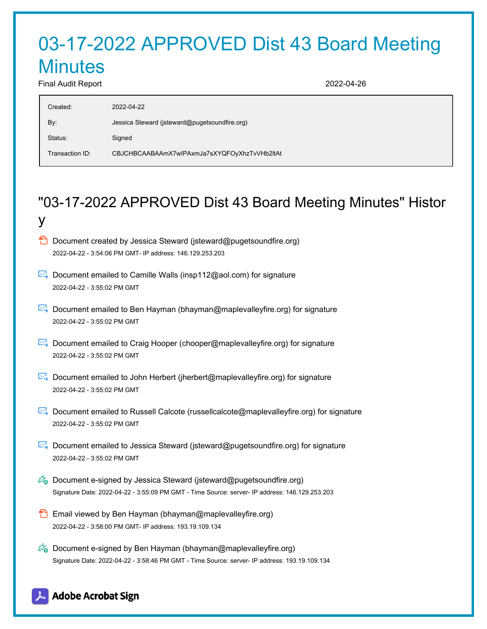## 03-17-2022 APPROVED Dist 43 Board Meeting **Minutes** Final Audit Report 2022-04-26

y

| Created:        | 2022-04-22                                    |
|-----------------|-----------------------------------------------|
| By:             | Jessica Steward (jsteward@pugetsoundfire.org) |
| Status:         | Signed                                        |
| Transaction ID: | CBJCHBCAABAAmX7wlPAxmJa7sXYQFOyXhzTvVHb2ltAt  |

# "03-17-2022 APPROVED Dist 43 Board Meeting Minutes" Histor

- **D** Document created by Jessica Steward (isteward@pugetsoundfire.org) 2022-04-22 - 3:54:06 PM GMT- IP address: 146.129.253.203
- Document emailed to Camille Walls (insp112@aol.com) for signature 2022-04-22 - 3:55:02 PM GMT
- Document emailed to Ben Hayman (bhayman@maplevalleyfire.org) for signature 2022-04-22 - 3:55:02 PM GMT
- **E**. Document emailed to Craig Hooper (chooper@maplevalleyfire.org) for signature 2022-04-22 - 3:55:02 PM GMT
- Document emailed to John Herbert (jherbert@maplevalleyfire.org) for signature 2022-04-22 - 3:55:02 PM GMT
- Document emailed to Russell Calcote (russellcalcote@maplevalleyfire.org) for signature 2022-04-22 - 3:55:02 PM GMT
- Document emailed to Jessica Steward (jsteward@pugetsoundfire.org) for signature 2022-04-22 - 3:55:02 PM GMT
- $\mathscr{O}_\bullet$  Document e-signed by Jessica Steward (jsteward@pugetsoundfire.org) Signature Date: 2022-04-22 - 3:55:09 PM GMT - Time Source: server- IP address: 146.129.253.203
- **Email viewed by Ben Hayman (bhayman@maplevalleyfire.org)** 2022-04-22 - 3:58:00 PM GMT- IP address: 193.19.109.134
- $\mathscr{D}_{\bullet}$  Document e-signed by Ben Hayman (bhayman@maplevalleyfire.org) Signature Date: 2022-04-22 - 3:58:46 PM GMT - Time Source: server- IP address: 193.19.109.134

### **Adobe Acrobat Sign**